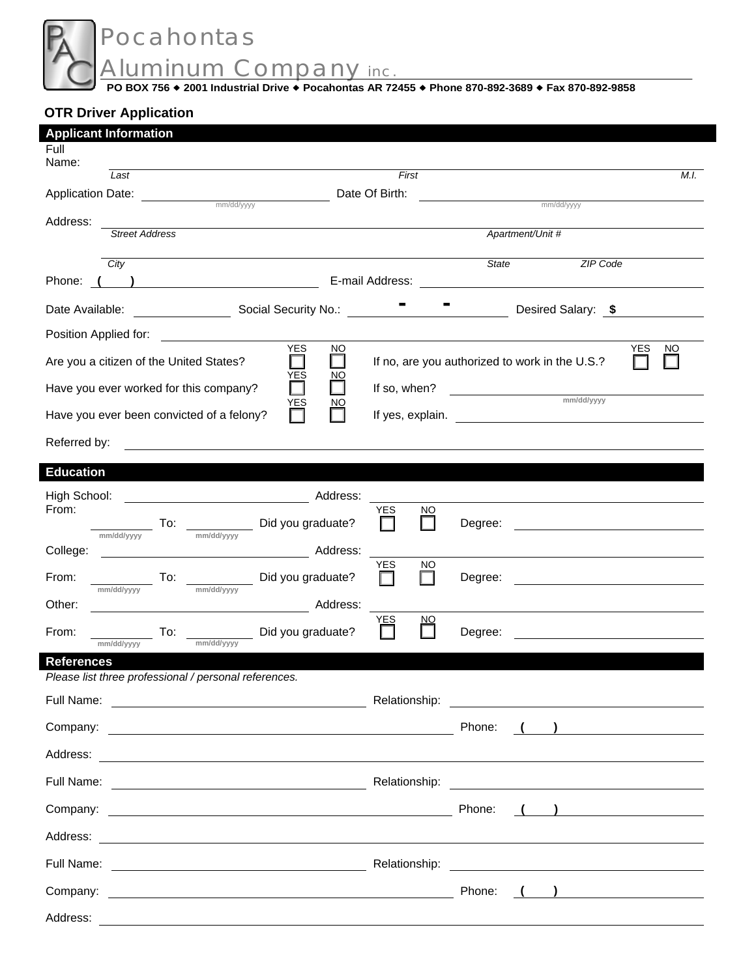Pocahontas Aluminum Company inc.

**PO BOX 756 2001 Industrial Drive Pocahontas AR 72455 Phone 870-892-3689 Fax 870-892-9858** 

# **OTR Driver Application**

 $\overline{\phantom{a}}$ 

| <b>Applicant Information</b>                                            |                                 |                                                                                                                      |                                                                                             |      |
|-------------------------------------------------------------------------|---------------------------------|----------------------------------------------------------------------------------------------------------------------|---------------------------------------------------------------------------------------------|------|
| Full<br>Name:                                                           |                                 |                                                                                                                      |                                                                                             |      |
| Last                                                                    | First                           |                                                                                                                      |                                                                                             | M.I. |
|                                                                         | Date Of Birth:                  |                                                                                                                      | mm/dd/yyyy                                                                                  |      |
| Address:                                                                |                                 |                                                                                                                      |                                                                                             |      |
| <b>Street Address</b>                                                   |                                 | Apartment/Unit #                                                                                                     |                                                                                             |      |
| City                                                                    |                                 | <b>State</b>                                                                                                         | <b>ZIP</b> Code                                                                             |      |
| Phone: (                                                                | E-mail Address:                 |                                                                                                                      |                                                                                             |      |
| Date Available: Social Security No.:                                    |                                 |                                                                                                                      | Desired Salary: \$                                                                          |      |
| Position Applied for:<br><u>and the state of the state of the state</u> |                                 |                                                                                                                      |                                                                                             |      |
| <b>YES</b><br>Are you a citizen of the United States?                   | <b>NO</b>                       | If no, are you authorized to work in the U.S.?                                                                       | YES                                                                                         | NO   |
| YES<br>Have you ever worked for this company?<br>YES                    | <u>NO</u><br>If so, when?<br>NO | <u> 1989 - Jan Stein Stein Stein Stein Stein Stein Stein Stein Stein Stein Stein Stein Stein Stein Stein Stein S</u> | mm/dd/yyyy                                                                                  |      |
| Have you ever been convicted of a felony?                               | If yes, explain.                |                                                                                                                      |                                                                                             |      |
| Referred by:                                                            |                                 |                                                                                                                      |                                                                                             |      |
| <b>Education</b>                                                        |                                 |                                                                                                                      |                                                                                             |      |
| High School:                                                            | Address:                        |                                                                                                                      |                                                                                             |      |
| From:                                                                   | <b>YES</b><br><b>NO</b>         |                                                                                                                      |                                                                                             |      |
| Did you graduate?<br>To:<br>mm/dd/yyyy<br>mm/dd/yyyy                    |                                 | Degree:                                                                                                              |                                                                                             |      |
| College:                                                                | Address:<br><b>YES</b>          |                                                                                                                      |                                                                                             |      |
| From:<br>Did you graduate?<br>To:<br>mm/dd/yyyy<br>mm/dd/yyyy           | NO                              | Degree:                                                                                                              |                                                                                             |      |
| Other:                                                                  | Address:                        |                                                                                                                      |                                                                                             |      |
| Did you graduate?<br>From:<br>To:                                       | YES<br><u>NO</u>                | Degree:                                                                                                              |                                                                                             |      |
| mm/dd/yyyy<br>mm/dd/yyyy<br><b>References</b>                           |                                 |                                                                                                                      |                                                                                             |      |
| Please list three professional / personal references.                   |                                 |                                                                                                                      |                                                                                             |      |
|                                                                         |                                 |                                                                                                                      |                                                                                             |      |
|                                                                         |                                 |                                                                                                                      | Phone: ( ) <u>______________________</u>                                                    |      |
|                                                                         |                                 |                                                                                                                      |                                                                                             |      |
|                                                                         |                                 |                                                                                                                      |                                                                                             |      |
|                                                                         |                                 |                                                                                                                      | $\left(\begin{array}{c} \begin{array}{c} \begin{array}{c} \end{array}\\ \end{array}\right)$ |      |
|                                                                         |                                 |                                                                                                                      |                                                                                             |      |
|                                                                         |                                 |                                                                                                                      |                                                                                             |      |
|                                                                         |                                 | Phone:                                                                                                               | $\left(\begin{array}{cc} 1 & 1 \end{array}\right)$                                          |      |
|                                                                         |                                 |                                                                                                                      |                                                                                             |      |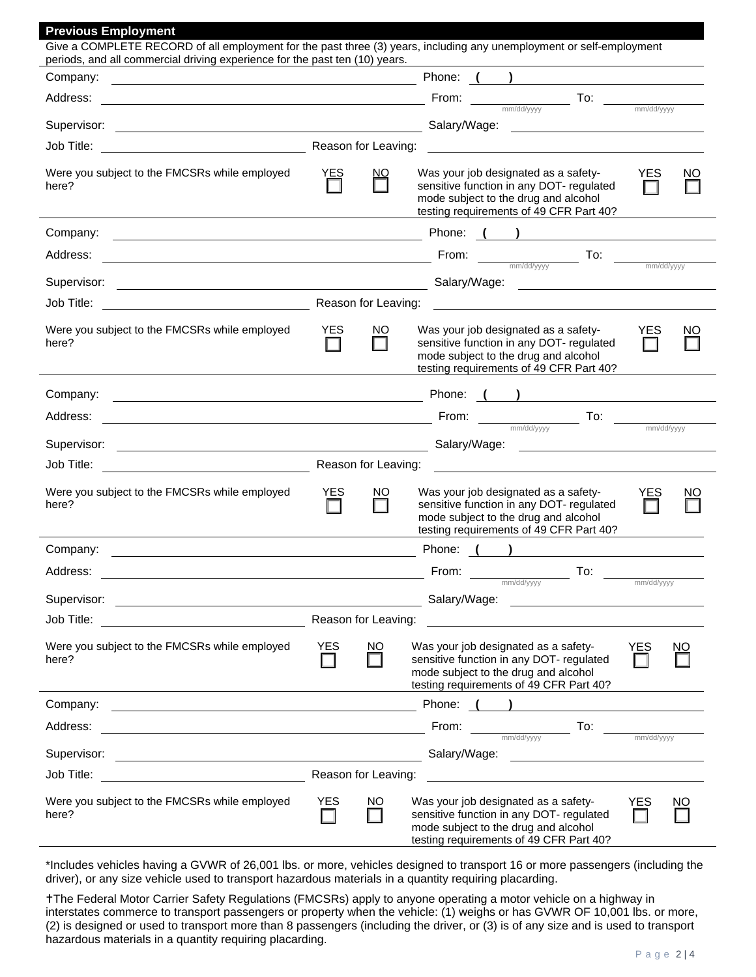| <b>Previous Employment</b>                                                                                                                                                                                                     |                   |                     |                                                                                                                                                                                                                                                                                                                              |
|--------------------------------------------------------------------------------------------------------------------------------------------------------------------------------------------------------------------------------|-------------------|---------------------|------------------------------------------------------------------------------------------------------------------------------------------------------------------------------------------------------------------------------------------------------------------------------------------------------------------------------|
| Give a COMPLETE RECORD of all employment for the past three (3) years, including any unemployment or self-employment<br>periods, and all commercial driving experience for the past ten (10) years.                            |                   |                     |                                                                                                                                                                                                                                                                                                                              |
| Company:<br><u> 1989 - Johann Stoff, deutscher Stoffen und der Stoffen und der Stoffen und der Stoffen und der Stoffen und der</u>                                                                                             |                   |                     | Phone: ( )                                                                                                                                                                                                                                                                                                                   |
| Address:                                                                                                                                                                                                                       |                   |                     | $\begin{array}{cccccccccc} \textbf{From:} & & & \textbf{To:} & & \textbf{max}_{\text{mm/dd/yyy}} \end{array}$                                                                                                                                                                                                                |
|                                                                                                                                                                                                                                |                   |                     |                                                                                                                                                                                                                                                                                                                              |
|                                                                                                                                                                                                                                |                   |                     | <u> 1980 - Jan Stein Harry Stein Berlin (d. 1980)</u>                                                                                                                                                                                                                                                                        |
|                                                                                                                                                                                                                                |                   |                     |                                                                                                                                                                                                                                                                                                                              |
| Were you subject to the FMCSRs while employed<br>here?                                                                                                                                                                         | YES               | <u>NO</u>           | Was your job designated as a safety-<br><b>YES</b><br>NO<br>sensitive function in any DOT- regulated<br>mode subject to the drug and alcohol<br>testing requirements of 49 CFR Part 40?                                                                                                                                      |
| Company:                                                                                                                                                                                                                       |                   |                     |                                                                                                                                                                                                                                                                                                                              |
| Address:                                                                                                                                                                                                                       |                   |                     | <b>Erom:</b> $\frac{1}{2}$ <b>From:</b> $\frac{1}{2}$ <b>To:</b> $\frac{1}{2}$ $\frac{1}{2}$ $\frac{1}{2}$ $\frac{1}{2}$ $\frac{1}{2}$ $\frac{1}{2}$ $\frac{1}{2}$ $\frac{1}{2}$ $\frac{1}{2}$ $\frac{1}{2}$ $\frac{1}{2}$ $\frac{1}{2}$ $\frac{1}{2}$ $\frac{1}{2}$ $\frac{1}{2}$ $\frac{1}{2}$ $\frac{1}{2}$ $\frac{1}{2}$ |
| Supervisor:                                                                                                                                                                                                                    |                   |                     |                                                                                                                                                                                                                                                                                                                              |
| Reason for Leaving:<br>Job Title:                                                                                                                                                                                              |                   |                     |                                                                                                                                                                                                                                                                                                                              |
| Were you subject to the FMCSRs while employed<br>here?                                                                                                                                                                         | <b>YES</b><br>l I | NO.                 | Was your job designated as a safety-<br><b>YES</b><br>ΝO<br>sensitive function in any DOT- regulated<br>mode subject to the drug and alcohol<br>testing requirements of 49 CFR Part 40?                                                                                                                                      |
| Company:                                                                                                                                                                                                                       |                   |                     |                                                                                                                                                                                                                                                                                                                              |
| Address:                                                                                                                                                                                                                       |                   |                     | <b>Example 2018</b> From: $\frac{1}{\text{max}\left(\frac{1}{2}\right)^{1/2}}$ To: $\frac{1}{\text{min}\left(\frac{1}{2}\right)^{1/2}}$ To: $\frac{1}{\text{min}\left(\frac{1}{2}\right)^{1/2}}$                                                                                                                             |
| Supervisor:                                                                                                                                                                                                                    |                   |                     | Salary/Wage: <u>contract and the set of the set of the set of the set of the set of the set of the set of the set of the set of the set of the set of the set of the set of the set of the set of the set of the set of the set </u>                                                                                         |
| Job Title:                                                                                                                                                                                                                     |                   | Reason for Leaving: |                                                                                                                                                                                                                                                                                                                              |
| Were you subject to the FMCSRs while employed<br>here?                                                                                                                                                                         | <b>YES</b>        | NO.                 | <b>YES</b><br>Was your job designated as a safety-<br>NO<br>sensitive function in any DOT- regulated<br>H<br>mode subject to the drug and alcohol<br>testing requirements of 49 CFR Part 40?                                                                                                                                 |
| Company:                                                                                                                                                                                                                       |                   |                     | Phone: ( )                                                                                                                                                                                                                                                                                                                   |
| Address:                                                                                                                                                                                                                       |                   |                     | To:<br>From:                                                                                                                                                                                                                                                                                                                 |
| Supervisor:                                                                                                                                                                                                                    |                   |                     | mm/dd/yyyy<br>mm/dd/yyyy                                                                                                                                                                                                                                                                                                     |
| Job Title:                                                                                                                                                                                                                     |                   | Reason for Leaving: |                                                                                                                                                                                                                                                                                                                              |
| Were you subject to the FMCSRs while employed<br>here?                                                                                                                                                                         | <b>YES</b>        | NO.                 | Was your job designated as a safety-<br><b>YES</b><br><u>NO</u><br>sensitive function in any DOT- regulated<br>mode subject to the drug and alcohol<br>testing requirements of 49 CFR Part 40?                                                                                                                               |
| Company:                                                                                                                                                                                                                       |                   |                     |                                                                                                                                                                                                                                                                                                                              |
| Address:<br><u> 1980 - Johann Barbara, martin amerikan basar dan basa dan basa dan basa dalam basa dalam basa dalam basa dala</u>                                                                                              |                   |                     | From: $\frac{1}{\text{mm/dd/yyy}}$ To: $\frac{1}{\text{mm/dd/yyyy}}$                                                                                                                                                                                                                                                         |
|                                                                                                                                                                                                                                |                   |                     |                                                                                                                                                                                                                                                                                                                              |
| Job Title: The Commission of the Commission of the Commission of the Commission of the Commission of the Commission of the Commission of the Commission of the Commission of the Commission of the Commission of the Commissio |                   | Reason for Leaving: |                                                                                                                                                                                                                                                                                                                              |
| Were you subject to the FMCSRs while employed<br>here?                                                                                                                                                                         | <b>YES</b>        | NO.                 | Was your job designated as a safety-<br><b>YES</b><br><u>NO</u><br>sensitive function in any DOT- regulated<br>mode subject to the drug and alcohol<br>testing requirements of 49 CFR Part 40?                                                                                                                               |

\*Includes vehicles having a GVWR of 26,001 lbs. or more, vehicles designed to transport 16 or more passengers (including the driver), or any size vehicle used to transport hazardous materials in a quantity requiring placarding.

The Federal Motor Carrier Safety Regulations (FMCSRs) apply to anyone operating a motor vehicle on a highway in interstates commerce to transport passengers or property when the vehicle: (1) weighs or has GVWR OF 10,001 lbs. or more, (2) is designed or used to transport more than 8 passengers (including the driver, or (3) is of any size and is used to transport hazardous materials in a quantity requiring placarding.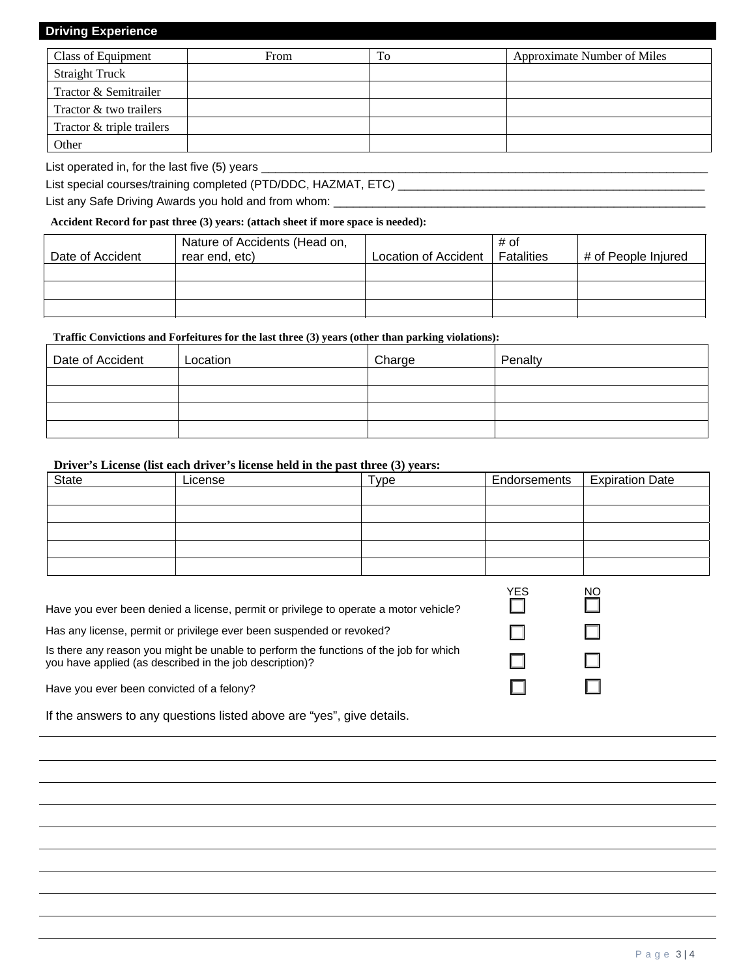## **Driving Experience**

| Class of Equipment        | From | To | Approximate Number of Miles |
|---------------------------|------|----|-----------------------------|
| <b>Straight Truck</b>     |      |    |                             |
| Tractor & Semitrailer     |      |    |                             |
| Tractor & two trailers    |      |    |                             |
| Tractor & triple trailers |      |    |                             |
| Other                     |      |    |                             |

List operated in, for the last five (5) years \_

List special courses/training completed (PTD/DDC, HAZMAT, ETC)

List any Safe Driving Awards you hold and from whom:

#### **Accident Record for past three (3) years: (attach sheet if more space is needed):**

| Date of Accident | Nature of Accidents (Head on,<br>rear end, etc) | Location of Accident | # of<br>Fatalities | # of People Injured |
|------------------|-------------------------------------------------|----------------------|--------------------|---------------------|
|                  |                                                 |                      |                    |                     |
|                  |                                                 |                      |                    |                     |
|                  |                                                 |                      |                    |                     |

## **Traffic Convictions and Forfeitures for the last three (3) years (other than parking violations):**

| Date of Accident | Location | Charge | Penalty |
|------------------|----------|--------|---------|
|                  |          |        |         |
|                  |          |        |         |
|                  |          |        |         |
|                  |          |        |         |

## **Driver's License (list each driver's license held in the past three (3) years:**

| <b>State</b> | License | Type | Endorsements   Expiration Date |
|--------------|---------|------|--------------------------------|
|              |         |      |                                |
|              |         |      |                                |
|              |         |      |                                |
|              |         |      |                                |
|              |         |      |                                |

| Have you ever been denied a license, permit or privilege to operate a motor vehicle? |  |  |
|--------------------------------------------------------------------------------------|--|--|
|                                                                                      |  |  |
|                                                                                      |  |  |

Has any license, permit or privilege ever been suspended or revoked?

Is there any reason you might be unable to perform the functions of the job for which you have applied (as described in the job description)?

Have you ever been convicted of a felony?

If the answers to any questions listed above are "yes", give details.

| <b>YES</b> | <u>NC</u> |
|------------|-----------|
|            |           |
|            |           |
|            |           |